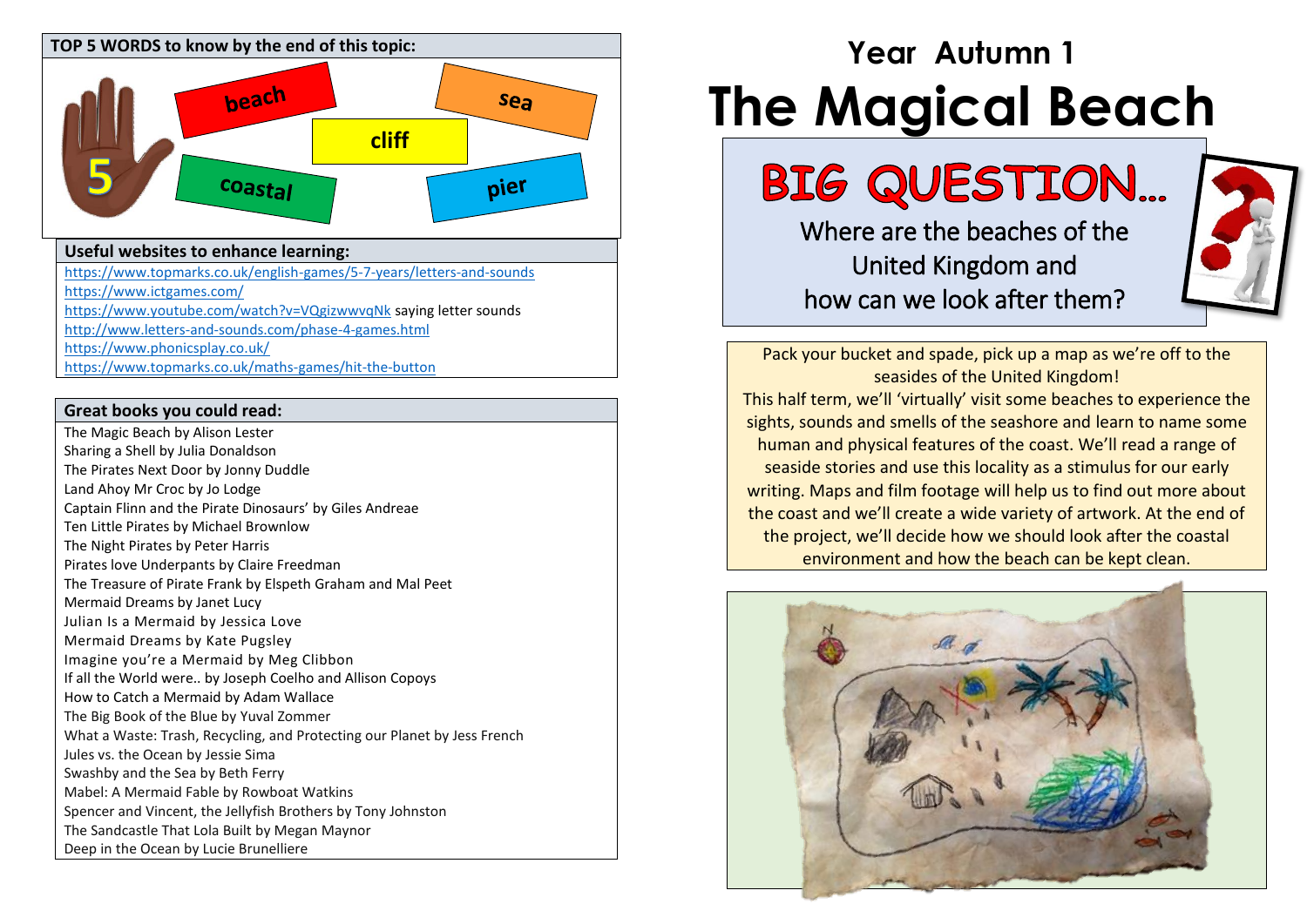

## **Useful websites to enhance learning:**

<https://www.topmarks.co.uk/english-games/5-7-years/letters-and-sounds>

- <https://www.ictgames.com/>
- <https://www.youtube.com/watch?v=VQgizwwvqNk> saying letter sounds
- <http://www.letters-and-sounds.com/phase-4-games.html>
- <https://www.phonicsplay.co.uk/>
- <https://www.topmarks.co.uk/maths-games/hit-the-button>

### **Great books you could read:**

The Magic Beach by Alison Lester Sharing a Shell by Julia Donaldson The Pirates Next Door by Jonny Duddle Land Ahoy Mr Croc by Jo Lodge Captain Flinn and the Pirate Dinosaurs' by Giles Andreae Ten Little Pirates by Michael Brownlow The Night Pirates by Peter Harris Pirates love Underpants by Claire Freedman The Treasure of Pirate Frank by Elspeth Graham and Mal Peet Mermaid Dreams by Janet Lucy Julian Is a Mermaid by Jessica Love Mermaid Dreams by Kate Pugsley Imagine you're a Mermaid by Meg Clibbon If all the World were.. by Joseph Coelho and Allison Copoys How to Catch a Mermaid by Adam Wallace The Big Book of the Blue by Yuval Zommer What a Waste: Trash, Recycling, and Protecting our Planet by Jess French Jules vs. the Ocean by Jessie Sima Swashby and the Sea by Beth Ferry Mabel: A Mermaid Fable by Rowboat Watkins Spencer and Vincent, the Jellyfish Brothers by Tony Johnston The Sandcastle That Lola Built by Megan Maynor Deep in the Ocean by Lucie Brunelliere

# **Year Autumn 1 The Magical Beach**

Where are the beaches of the United Kingdom and how can we look after them?



Pack your bucket and spade, pick up a map as we're off to the seasides of the United Kingdom! This half term, we'll 'virtually' visit some beaches to experience the sights, sounds and smells of the seashore and learn to name some human and physical features of the coast. We'll read a range of seaside stories and use this locality as a stimulus for our early writing. Maps and film footage will help us to find out more about the coast and we'll create a wide variety of artwork. At the end of the project, we'll decide how we should look after the coastal environment and how the beach can be kept clean.

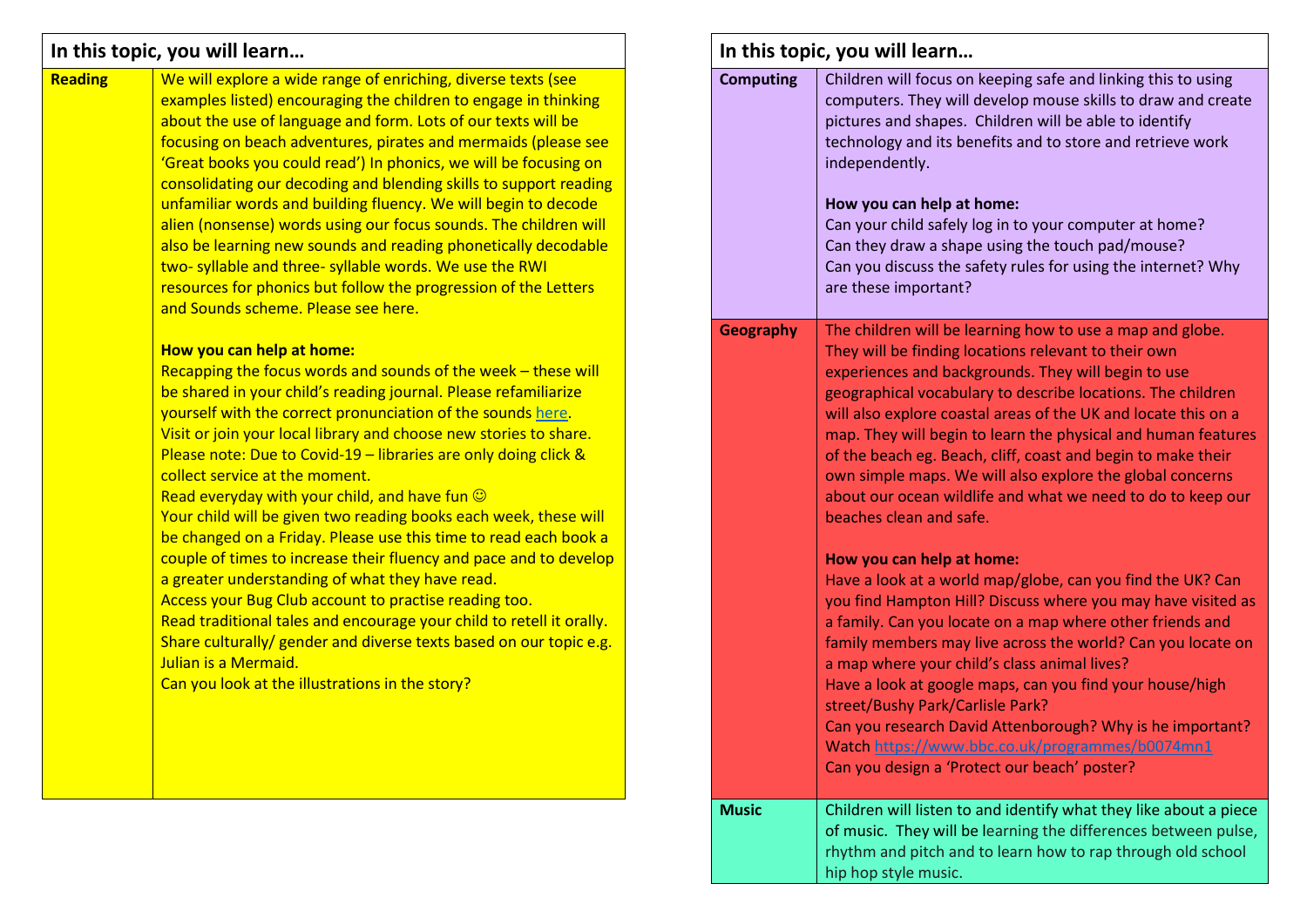## **In this topic, you will learn…**

| <b>Reading</b> | We will explore a wide range of enriching, diverse texts (see        |
|----------------|----------------------------------------------------------------------|
|                | examples listed) encouraging the children to engage in thinking      |
|                | about the use of language and form. Lots of our texts will be        |
|                | focusing on beach adventures, pirates and mermaids (please see       |
|                | 'Great books you could read') In phonics, we will be focusing on     |
|                | consolidating our decoding and blending skills to support reading    |
|                | unfamiliar words and building fluency. We will begin to decode       |
|                | alien (nonsense) words using our focus sounds. The children will     |
|                | also be learning new sounds and reading phonetically decodable       |
|                | two- syllable and three- syllable words. We use the RWI              |
|                | resources for phonics but follow the progression of the Letters      |
|                | and Sounds scheme. Please see here.                                  |
|                |                                                                      |
|                | How you can help at home:                                            |
|                | Recapping the focus words and sounds of the week - these will        |
|                | be shared in your child's reading journal. Please refamiliarize      |
|                | yourself with the correct pronunciation of the sounds here.          |
|                | Visit or join your local library and choose new stories to share.    |
|                | Please note: Due to Covid-19 - libraries are only doing click &      |
|                | collect service at the moment.                                       |
|                | Read everyday with your child, and have fun $\odot$                  |
|                | Your child will be given two reading books each week, these will     |
|                | be changed on a Friday. Please use this time to read each book a     |
|                | couple of times to increase their fluency and pace and to develop    |
|                | a greater understanding of what they have read.                      |
|                | Access your Bug Club account to practise reading too.                |
|                | Read traditional tales and encourage your child to retell it orally. |
|                | Share culturally/ gender and diverse texts based on our topic e.g.   |
|                | Julian is a Mermaid.                                                 |
|                | Can you look at the illustrations in the story?                      |
|                |                                                                      |
|                |                                                                      |
|                |                                                                      |
|                |                                                                      |
|                |                                                                      |

| In this topic, you will learn |                                                                                                                                                                                                                                                                                                                                                                                                                                                                                                                                                                                                     |  |  |
|-------------------------------|-----------------------------------------------------------------------------------------------------------------------------------------------------------------------------------------------------------------------------------------------------------------------------------------------------------------------------------------------------------------------------------------------------------------------------------------------------------------------------------------------------------------------------------------------------------------------------------------------------|--|--|
| <b>Computing</b>              | Children will focus on keeping safe and linking this to using<br>computers. They will develop mouse skills to draw and create<br>pictures and shapes. Children will be able to identify<br>technology and its benefits and to store and retrieve work<br>independently.<br>How you can help at home:<br>Can your child safely log in to your computer at home?<br>Can they draw a shape using the touch pad/mouse?<br>Can you discuss the safety rules for using the internet? Why<br>are these important?                                                                                          |  |  |
| <b>Geography</b>              | The children will be learning how to use a map and globe.<br>They will be finding locations relevant to their own<br>experiences and backgrounds. They will begin to use<br>geographical vocabulary to describe locations. The children<br>will also explore coastal areas of the UK and locate this on a<br>map. They will begin to learn the physical and human features<br>of the beach eg. Beach, cliff, coast and begin to make their<br>own simple maps. We will also explore the global concerns<br>about our ocean wildlife and what we need to do to keep our<br>beaches clean and safe.   |  |  |
|                               | How you can help at home:<br>Have a look at a world map/globe, can you find the UK? Can<br>you find Hampton Hill? Discuss where you may have visited as<br>a family. Can you locate on a map where other friends and<br>family members may live across the world? Can you locate on<br>a map where your child's class animal lives?<br>Have a look at google maps, can you find your house/high<br>street/Bushy Park/Carlisle Park?<br>Can you research David Attenborough? Why is he important?<br>Watch https://www.bbc.co.uk/programmes/b0074mn1<br>Can you design a 'Protect our beach' poster? |  |  |
| <b>Music</b>                  | Children will listen to and identify what they like about a piece<br>of music. They will be learning the differences between pulse,<br>rhythm and pitch and to learn how to rap through old school<br>hip hop style music.                                                                                                                                                                                                                                                                                                                                                                          |  |  |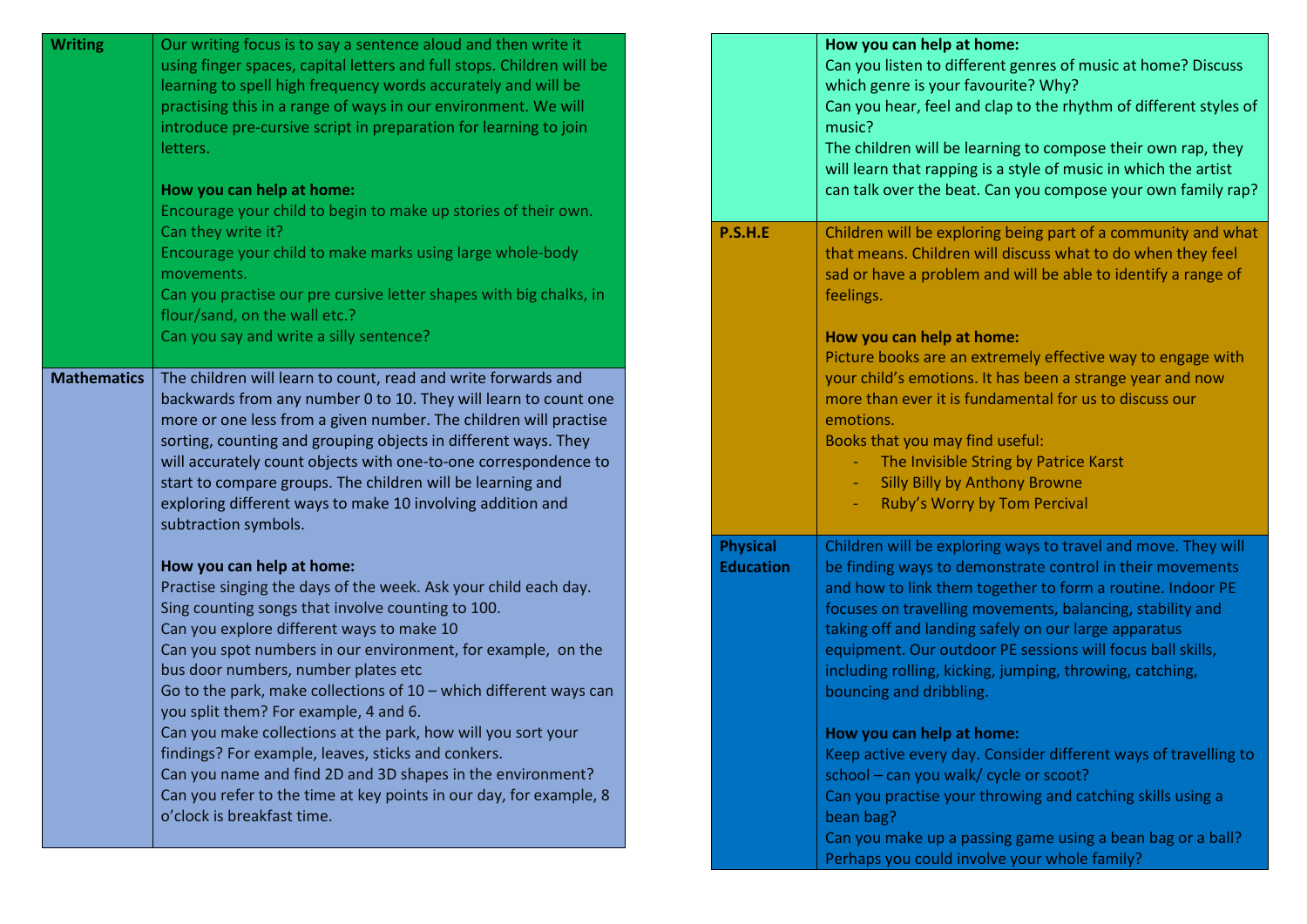| <b>Writing</b>     | Our writing focus is to say a sentence aloud and then write it<br>using finger spaces, capital letters and full stops. Children will be<br>learning to spell high frequency words accurately and will be<br>practising this in a range of ways in our environment. We will<br>introduce pre-cursive script in preparation for learning to join<br>letters.<br>How you can help at home:<br>Encourage your child to begin to make up stories of their own.                                     |                                     | How you can help at home:<br>Can you listen to different genres of music at home? Discuss<br>which genre is your favourite? Why?<br>Can you hear, feel and clap to the rhythm of different styles of<br>music?<br>The children will be learning to compose their own rap, they<br>will learn that rapping is a style of music in which the artist<br>can talk over the beat. Can you compose your own family rap?                                                                               |
|--------------------|-----------------------------------------------------------------------------------------------------------------------------------------------------------------------------------------------------------------------------------------------------------------------------------------------------------------------------------------------------------------------------------------------------------------------------------------------------------------------------------------------|-------------------------------------|-------------------------------------------------------------------------------------------------------------------------------------------------------------------------------------------------------------------------------------------------------------------------------------------------------------------------------------------------------------------------------------------------------------------------------------------------------------------------------------------------|
|                    | Can they write it?<br>Encourage your child to make marks using large whole-body<br>movements.<br>Can you practise our pre cursive letter shapes with big chalks, in<br>flour/sand, on the wall etc.?<br>Can you say and write a silly sentence?                                                                                                                                                                                                                                               | <b>P.S.H.E</b>                      | Children will be exploring being part of a community and what<br>that means. Children will discuss what to do when they feel<br>sad or have a problem and will be able to identify a range of<br>feelings.<br>How you can help at home:<br>Picture books are an extremely effective way to engage with                                                                                                                                                                                          |
| <b>Mathematics</b> | The children will learn to count, read and write forwards and<br>backwards from any number 0 to 10. They will learn to count one<br>more or one less from a given number. The children will practise<br>sorting, counting and grouping objects in different ways. They<br>will accurately count objects with one-to-one correspondence to<br>start to compare groups. The children will be learning and<br>exploring different ways to make 10 involving addition and<br>subtraction symbols. |                                     | your child's emotions. It has been a strange year and now<br>more than ever it is fundamental for us to discuss our<br>emotions.<br>Books that you may find useful:<br>The Invisible String by Patrice Karst<br><b>Silly Billy by Anthony Browne</b><br>Ruby's Worry by Tom Percival                                                                                                                                                                                                            |
|                    | How you can help at home:<br>Practise singing the days of the week. Ask your child each day.<br>Sing counting songs that involve counting to 100.<br>Can you explore different ways to make 10<br>Can you spot numbers in our environment, for example, on the<br>bus door numbers, number plates etc<br>Go to the park, make collections of 10 - which different ways can<br>you split them? For example, 4 and 6.<br>Can you make collections at the park, how will you sort your           | <b>Physical</b><br><b>Education</b> | Children will be exploring ways to travel and move. They will<br>be finding ways to demonstrate control in their movements<br>and how to link them together to form a routine. Indoor PE<br>focuses on travelling movements, balancing, stability and<br>taking off and landing safely on our large apparatus<br>equipment. Our outdoor PE sessions will focus ball skills,<br>including rolling, kicking, jumping, throwing, catching,<br>bouncing and dribbling.<br>How you can help at home: |
|                    | findings? For example, leaves, sticks and conkers.<br>Can you name and find 2D and 3D shapes in the environment?<br>Can you refer to the time at key points in our day, for example, 8<br>o'clock is breakfast time.                                                                                                                                                                                                                                                                          |                                     | Keep active every day. Consider different ways of travelling to<br>school - can you walk/ cycle or scoot?<br>Can you practise your throwing and catching skills using a<br>bean bag?<br>Can you make up a passing game using a bean bag or a ball?<br>Perhaps you could involve your whole family?                                                                                                                                                                                              |